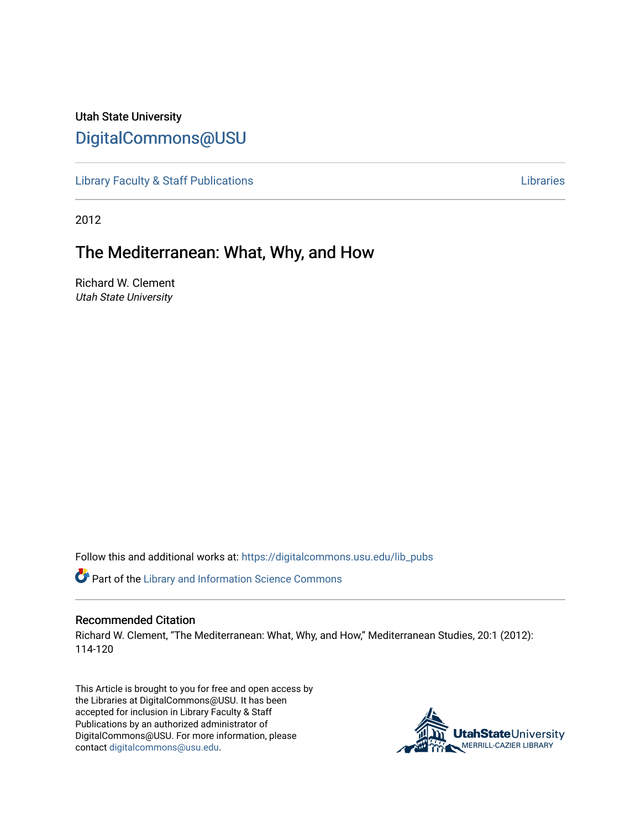# Utah State University [DigitalCommons@USU](https://digitalcommons.usu.edu/)

[Library Faculty & Staff Publications](https://digitalcommons.usu.edu/lib_pubs) [Libraries](https://digitalcommons.usu.edu/library) 

2012

## The Mediterranean: What, Why, and How

Richard W. Clement Utah State University

Follow this and additional works at: [https://digitalcommons.usu.edu/lib\\_pubs](https://digitalcommons.usu.edu/lib_pubs?utm_source=digitalcommons.usu.edu%2Flib_pubs%2F114&utm_medium=PDF&utm_campaign=PDFCoverPages)

Part of the [Library and Information Science Commons](http://network.bepress.com/hgg/discipline/1018?utm_source=digitalcommons.usu.edu%2Flib_pubs%2F114&utm_medium=PDF&utm_campaign=PDFCoverPages) 

#### Recommended Citation

Richard W. Clement, "The Mediterranean: What, Why, and How," Mediterranean Studies, 20:1 (2012): 114-120

This Article is brought to you for free and open access by the Libraries at DigitalCommons@USU. It has been accepted for inclusion in Library Faculty & Staff Publications by an authorized administrator of DigitalCommons@USU. For more information, please contact [digitalcommons@usu.edu](mailto:digitalcommons@usu.edu).

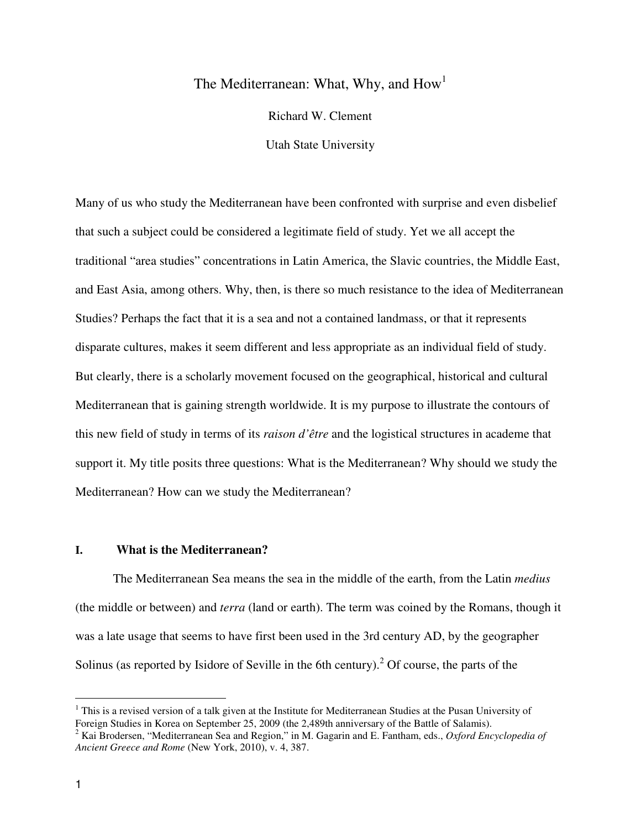### The Mediterranean: What, Why, and How<sup>1</sup>

Richard W. Clement

Utah State University

Many of us who study the Mediterranean have been confronted with surprise and even disbelief that such a subject could be considered a legitimate field of study. Yet we all accept the traditional "area studies" concentrations in Latin America, the Slavic countries, the Middle East, and East Asia, among others. Why, then, is there so much resistance to the idea of Mediterranean Studies? Perhaps the fact that it is a sea and not a contained landmass, or that it represents disparate cultures, makes it seem different and less appropriate as an individual field of study. But clearly, there is a scholarly movement focused on the geographical, historical and cultural Mediterranean that is gaining strength worldwide. It is my purpose to illustrate the contours of this new field of study in terms of its *raison d'être* and the logistical structures in academe that support it. My title posits three questions: What is the Mediterranean? Why should we study the Mediterranean? How can we study the Mediterranean?

#### **I. What is the Mediterranean?**

 The Mediterranean Sea means the sea in the middle of the earth, from the Latin *medius* (the middle or between) and *terra* (land or earth). The term was coined by the Romans, though it was a late usage that seems to have first been used in the 3rd century AD, by the geographer Solinus (as reported by Isidore of Seville in the 6th century).<sup>2</sup> Of course, the parts of the

<sup>&</sup>lt;sup>1</sup> This is a revised version of a talk given at the Institute for Mediterranean Studies at the Pusan University of Foreign Studies in Korea on September 25, 2009 (the 2,489th anniversary of the Battle of Salamis).

<sup>2</sup> Kai Brodersen, "Mediterranean Sea and Region," in M. Gagarin and E. Fantham, eds., *Oxford Encyclopedia of Ancient Greece and Rome* (New York, 2010), v. 4, 387.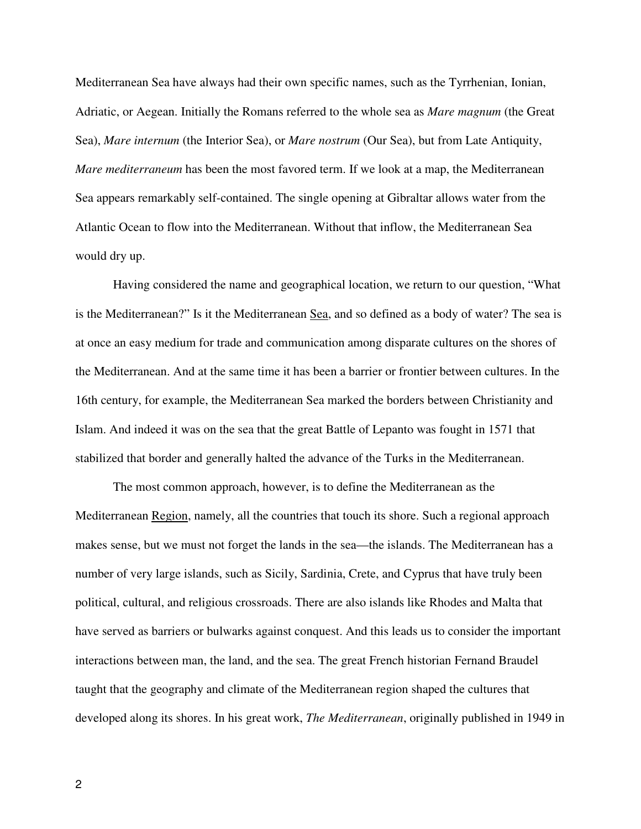Mediterranean Sea have always had their own specific names, such as the Tyrrhenian, Ionian, Adriatic, or Aegean. Initially the Romans referred to the whole sea as *Mare magnum* (the Great Sea), *Mare internum* (the Interior Sea), or *Mare nostrum* (Our Sea), but from Late Antiquity, *Mare mediterraneum* has been the most favored term. If we look at a map, the Mediterranean Sea appears remarkably self-contained. The single opening at Gibraltar allows water from the Atlantic Ocean to flow into the Mediterranean. Without that inflow, the Mediterranean Sea would dry up.

 Having considered the name and geographical location, we return to our question, "What is the Mediterranean?" Is it the Mediterranean Sea, and so defined as a body of water? The sea is at once an easy medium for trade and communication among disparate cultures on the shores of the Mediterranean. And at the same time it has been a barrier or frontier between cultures. In the 16th century, for example, the Mediterranean Sea marked the borders between Christianity and Islam. And indeed it was on the sea that the great Battle of Lepanto was fought in 1571 that stabilized that border and generally halted the advance of the Turks in the Mediterranean.

 The most common approach, however, is to define the Mediterranean as the Mediterranean Region, namely, all the countries that touch its shore. Such a regional approach makes sense, but we must not forget the lands in the sea—the islands. The Mediterranean has a number of very large islands, such as Sicily, Sardinia, Crete, and Cyprus that have truly been political, cultural, and religious crossroads. There are also islands like Rhodes and Malta that have served as barriers or bulwarks against conquest. And this leads us to consider the important interactions between man, the land, and the sea. The great French historian Fernand Braudel taught that the geography and climate of the Mediterranean region shaped the cultures that developed along its shores. In his great work, *The Mediterranean*, originally published in 1949 in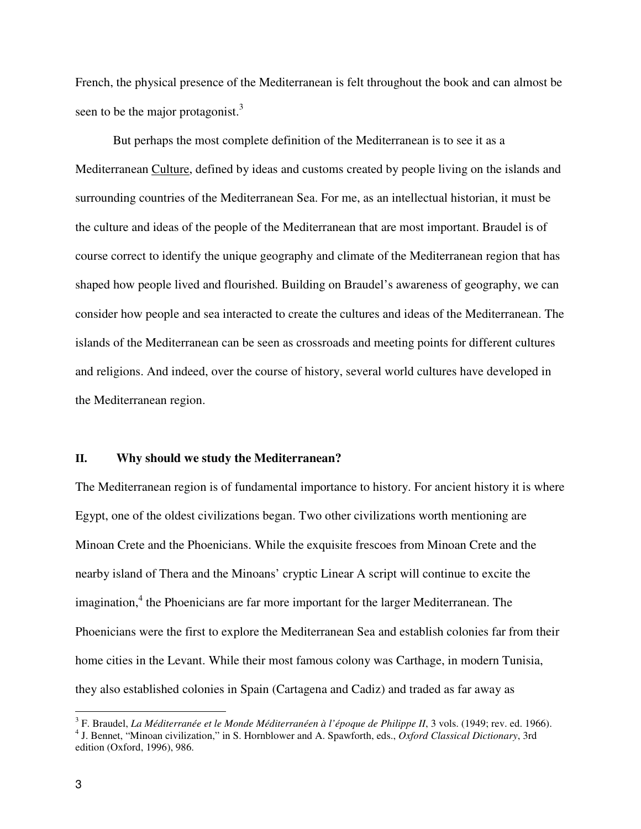French, the physical presence of the Mediterranean is felt throughout the book and can almost be seen to be the major protagonist.<sup>3</sup>

 But perhaps the most complete definition of the Mediterranean is to see it as a Mediterranean Culture, defined by ideas and customs created by people living on the islands and surrounding countries of the Mediterranean Sea. For me, as an intellectual historian, it must be the culture and ideas of the people of the Mediterranean that are most important. Braudel is of course correct to identify the unique geography and climate of the Mediterranean region that has shaped how people lived and flourished. Building on Braudel's awareness of geography, we can consider how people and sea interacted to create the cultures and ideas of the Mediterranean. The islands of the Mediterranean can be seen as crossroads and meeting points for different cultures and religions. And indeed, over the course of history, several world cultures have developed in the Mediterranean region.

#### **II. Why should we study the Mediterranean?**

The Mediterranean region is of fundamental importance to history. For ancient history it is where Egypt, one of the oldest civilizations began. Two other civilizations worth mentioning are Minoan Crete and the Phoenicians. While the exquisite frescoes from Minoan Crete and the nearby island of Thera and the Minoans' cryptic Linear A script will continue to excite the imagination,<sup>4</sup> the Phoenicians are far more important for the larger Mediterranean. The Phoenicians were the first to explore the Mediterranean Sea and establish colonies far from their home cities in the Levant. While their most famous colony was Carthage, in modern Tunisia, they also established colonies in Spain (Cartagena and Cadiz) and traded as far away as

<sup>&</sup>lt;sup>3</sup> F. Braudel, *La Méditerranée et le Monde Méditerranéen à l'époque de Philippe II*, 3 vols. (1949; rev. ed. 1966).

<sup>4</sup> J. Bennet, "Minoan civilization," in S. Hornblower and A. Spawforth, eds., *Oxford Classical Dictionary*, 3rd edition (Oxford, 1996), 986.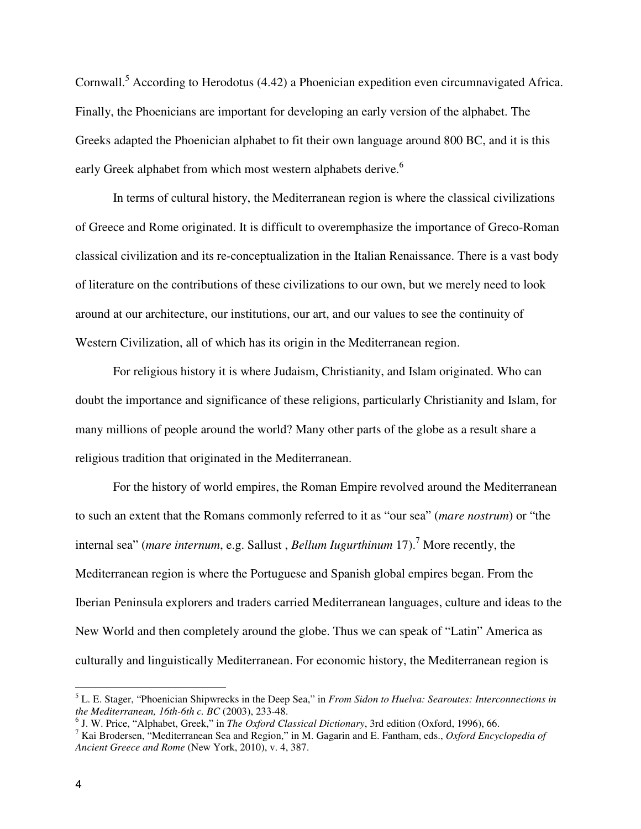Cornwall.<sup>5</sup> According to Herodotus (4.42) a Phoenician expedition even circumnavigated Africa. Finally, the Phoenicians are important for developing an early version of the alphabet. The Greeks adapted the Phoenician alphabet to fit their own language around 800 BC, and it is this early Greek alphabet from which most western alphabets derive.<sup>6</sup>

 In terms of cultural history, the Mediterranean region is where the classical civilizations of Greece and Rome originated. It is difficult to overemphasize the importance of Greco-Roman classical civilization and its re-conceptualization in the Italian Renaissance. There is a vast body of literature on the contributions of these civilizations to our own, but we merely need to look around at our architecture, our institutions, our art, and our values to see the continuity of Western Civilization, all of which has its origin in the Mediterranean region.

 For religious history it is where Judaism, Christianity, and Islam originated. Who can doubt the importance and significance of these religions, particularly Christianity and Islam, for many millions of people around the world? Many other parts of the globe as a result share a religious tradition that originated in the Mediterranean.

 For the history of world empires, the Roman Empire revolved around the Mediterranean to such an extent that the Romans commonly referred to it as "our sea" (*mare nostrum*) or "the internal sea" (*mare internum*, e.g. Sallust, *Bellum Iugurthinum* 17).<sup>7</sup> More recently, the Mediterranean region is where the Portuguese and Spanish global empires began. From the Iberian Peninsula explorers and traders carried Mediterranean languages, culture and ideas to the New World and then completely around the globe. Thus we can speak of "Latin" America as culturally and linguistically Mediterranean. For economic history, the Mediterranean region is

<sup>5</sup> L. E. Stager, "Phoenician Shipwrecks in the Deep Sea," in *From Sidon to Huelva: Searoutes: Interconnections in the Mediterranean, 16th-6th c. BC* (2003), 233-48.

<sup>6</sup> J. W. Price, "Alphabet, Greek," in *The Oxford Classical Dictionary*, 3rd edition (Oxford, 1996), 66.

<sup>7</sup> Kai Brodersen, "Mediterranean Sea and Region," in M. Gagarin and E. Fantham, eds., *Oxford Encyclopedia of Ancient Greece and Rome* (New York, 2010), v. 4, 387.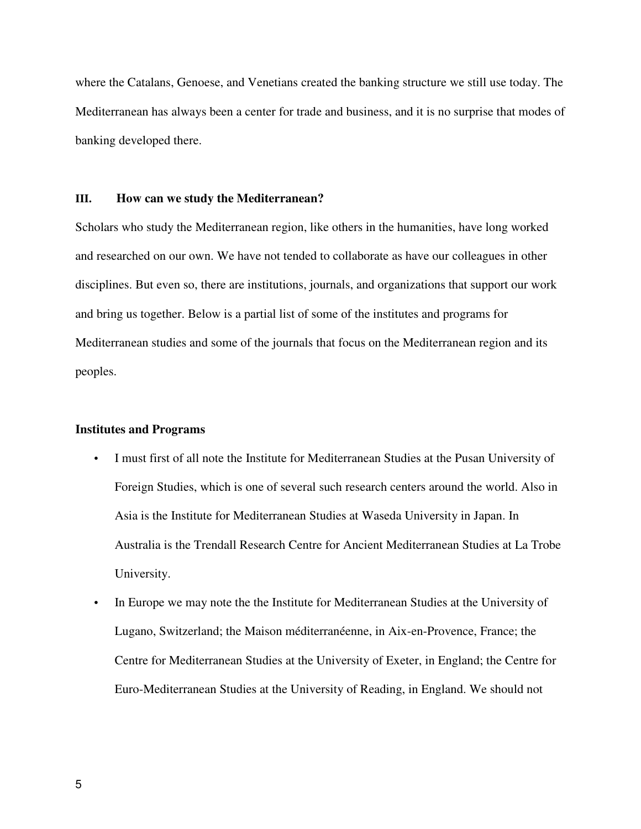where the Catalans, Genoese, and Venetians created the banking structure we still use today. The Mediterranean has always been a center for trade and business, and it is no surprise that modes of banking developed there.

#### **III. How can we study the Mediterranean?**

Scholars who study the Mediterranean region, like others in the humanities, have long worked and researched on our own. We have not tended to collaborate as have our colleagues in other disciplines. But even so, there are institutions, journals, and organizations that support our work and bring us together. Below is a partial list of some of the institutes and programs for Mediterranean studies and some of the journals that focus on the Mediterranean region and its peoples.

### **Institutes and Programs**

- I must first of all note the Institute for Mediterranean Studies at the Pusan University of Foreign Studies, which is one of several such research centers around the world. Also in Asia is the Institute for Mediterranean Studies at Waseda University in Japan. In Australia is the Trendall Research Centre for Ancient Mediterranean Studies at La Trobe University.
- In Europe we may note the the Institute for Mediterranean Studies at the University of Lugano, Switzerland; the Maison méditerranéenne, in Aix-en-Provence, France; the Centre for Mediterranean Studies at the University of Exeter, in England; the Centre for Euro-Mediterranean Studies at the University of Reading, in England. We should not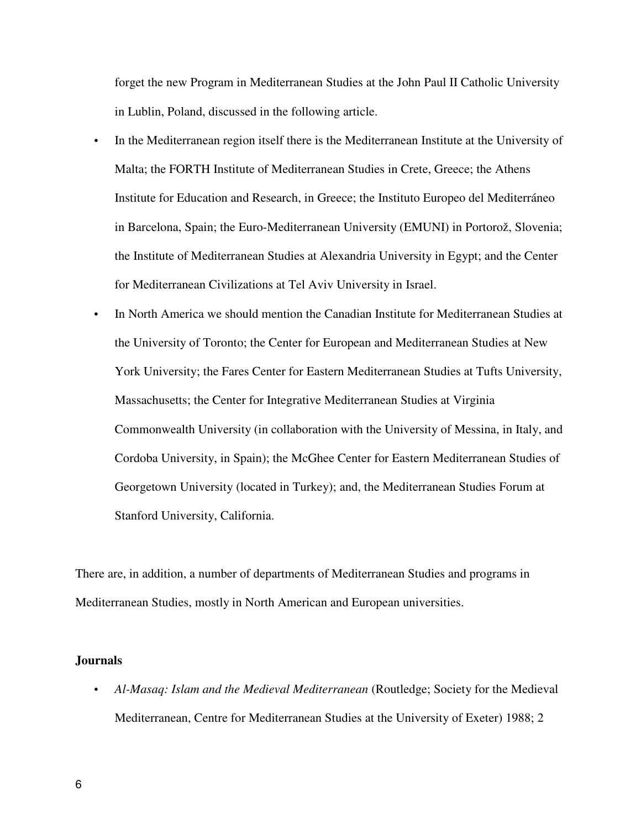forget the new Program in Mediterranean Studies at the John Paul II Catholic University in Lublin, Poland, discussed in the following article.

- In the Mediterranean region itself there is the Mediterranean Institute at the University of Malta; the FORTH Institute of Mediterranean Studies in Crete, Greece; the Athens Institute for Education and Research, in Greece; the Instituto Europeo del Mediterráneo in Barcelona, Spain; the Euro-Mediterranean University (EMUNI) in Portorož, Slovenia; the Institute of Mediterranean Studies at Alexandria University in Egypt; and the Center for Mediterranean Civilizations at Tel Aviv University in Israel.
- In North America we should mention the Canadian Institute for Mediterranean Studies at the University of Toronto; the Center for European and Mediterranean Studies at New York University; the Fares Center for Eastern Mediterranean Studies at Tufts University, Massachusetts; the Center for Integrative Mediterranean Studies at Virginia Commonwealth University (in collaboration with the University of Messina, in Italy, and Cordoba University, in Spain); the McGhee Center for Eastern Mediterranean Studies of Georgetown University (located in Turkey); and, the Mediterranean Studies Forum at Stanford University, California.

There are, in addition, a number of departments of Mediterranean Studies and programs in Mediterranean Studies, mostly in North American and European universities.

#### **Journals**

• *Al-Masaq: Islam and the Medieval Mediterranean* (Routledge; Society for the Medieval Mediterranean, Centre for Mediterranean Studies at the University of Exeter) 1988; 2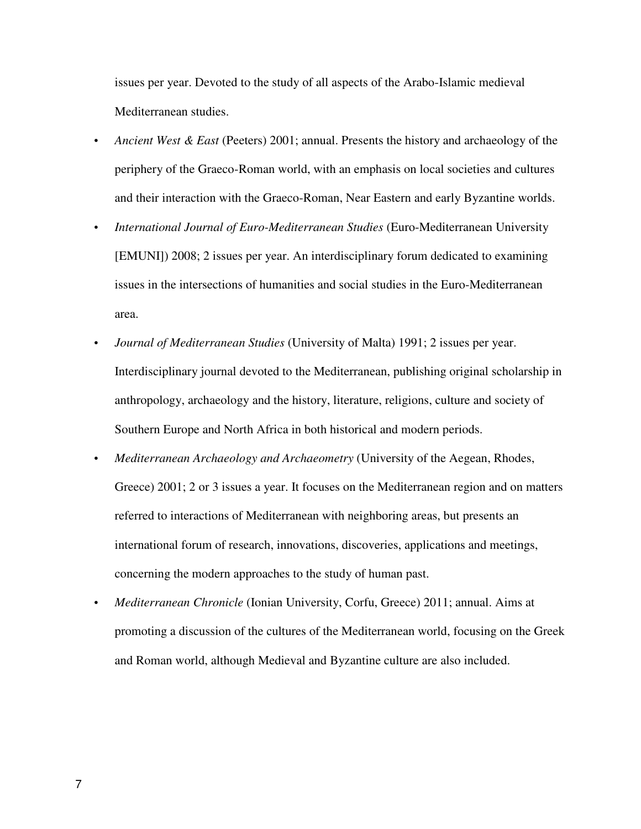issues per year. Devoted to the study of all aspects of the Arabo-Islamic medieval Mediterranean studies.

- *Ancient West & East* (Peeters) 2001; annual. Presents the history and archaeology of the periphery of the Graeco-Roman world, with an emphasis on local societies and cultures and their interaction with the Graeco-Roman, Near Eastern and early Byzantine worlds.
- *International Journal of Euro-Mediterranean Studies* (Euro-Mediterranean University [EMUNI]) 2008; 2 issues per year. An interdisciplinary forum dedicated to examining issues in the intersections of humanities and social studies in the Euro-Mediterranean area.
- *Journal of Mediterranean Studies* (University of Malta) 1991; 2 issues per year. Interdisciplinary journal devoted to the Mediterranean, publishing original scholarship in anthropology, archaeology and the history, literature, religions, culture and society of Southern Europe and North Africa in both historical and modern periods.
- *Mediterranean Archaeology and Archaeometry* (University of the Aegean, Rhodes, Greece) 2001; 2 or 3 issues a year. It focuses on the Mediterranean region and on matters referred to interactions of Mediterranean with neighboring areas, but presents an international forum of research, innovations, discoveries, applications and meetings, concerning the modern approaches to the study of human past.
- *Mediterranean Chronicle* (Ionian University, Corfu, Greece) 2011; annual. Aims at promoting a discussion of the cultures of the Mediterranean world, focusing on the Greek and Roman world, although Medieval and Byzantine culture are also included.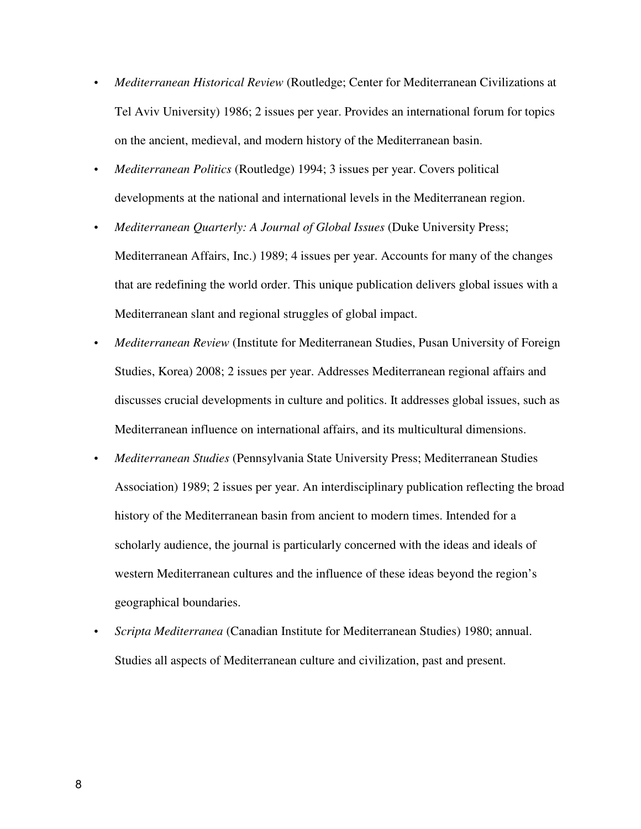- *Mediterranean Historical Review* (Routledge; Center for Mediterranean Civilizations at Tel Aviv University) 1986; 2 issues per year. Provides an international forum for topics on the ancient, medieval, and modern history of the Mediterranean basin.
- *Mediterranean Politics* (Routledge) 1994; 3 issues per year. Covers political developments at the national and international levels in the Mediterranean region.
- *Mediterranean Quarterly: A Journal of Global Issues (Duke University Press;* Mediterranean Affairs, Inc.) 1989; 4 issues per year. Accounts for many of the changes that are redefining the world order. This unique publication delivers global issues with a Mediterranean slant and regional struggles of global impact.
- *Mediterranean Review* (Institute for Mediterranean Studies, Pusan University of Foreign Studies, Korea) 2008; 2 issues per year. Addresses Mediterranean regional affairs and discusses crucial developments in culture and politics. It addresses global issues, such as Mediterranean influence on international affairs, and its multicultural dimensions.
- *Mediterranean Studies* (Pennsylvania State University Press; Mediterranean Studies Association) 1989; 2 issues per year. An interdisciplinary publication reflecting the broad history of the Mediterranean basin from ancient to modern times. Intended for a scholarly audience, the journal is particularly concerned with the ideas and ideals of western Mediterranean cultures and the influence of these ideas beyond the region's geographical boundaries.
- *Scripta Mediterranea* (Canadian Institute for Mediterranean Studies) 1980; annual. Studies all aspects of Mediterranean culture and civilization, past and present.